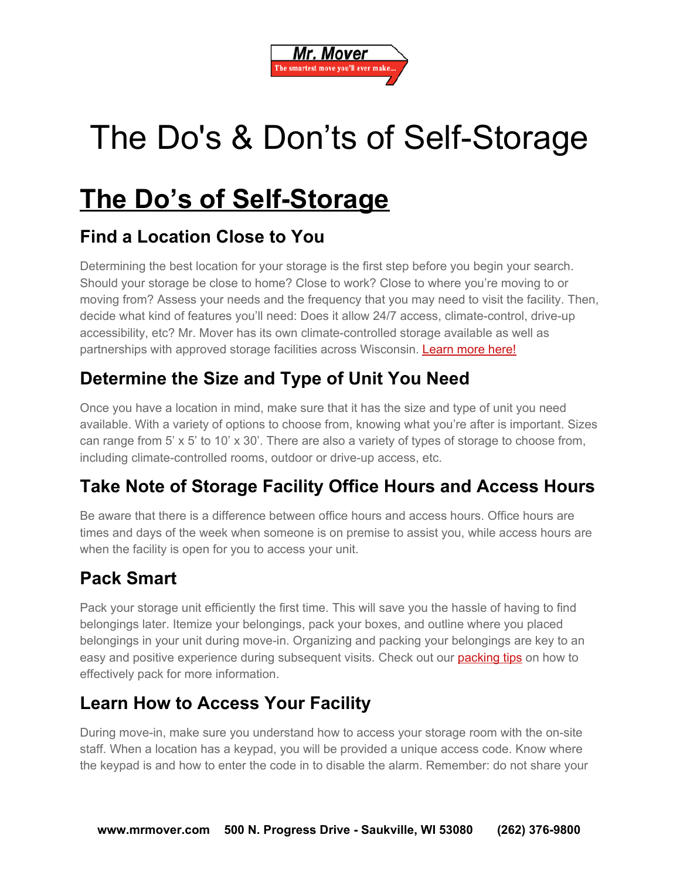

# The Do's & Don'ts of Self-Storage

# **The Do's of Self-Storage**

### **Find a Location Close to You**

Determining the best location for your storage is the first step before you begin your search. Should your storage be close to home? Close to work? Close to where you're moving to or moving from? Assess your needs and the frequency that you may need to visit the facility. Then, decide what kind of features you'll need: Does it allow 24/7 access, climate-control, drive-up accessibility, etc? Mr. Mover has its own climate-controlled storage available as well as partnerships with approved storage facilities across Wisconsin. [Learn](http://mrmover.com/services/storage) more here!

# **Determine the Size and Type of Unit You Need**

Once you have a location in mind, make sure that it has the size and type of unit you need available. With a variety of options to choose from, knowing what you're after is important. Sizes can range from 5' x 5' to 10' x 30'. There are also a variety of types of storage to choose from, including climate-controlled rooms, outdoor or drive-up access, etc.

# **Take Note of Storage Facility Office Hours and Access Hours**

Be aware that there is a difference between office hours and access hours. Office hours are times and days of the week when someone is on premise to assist you, while access hours are when the facility is open for you to access your unit.

#### **Pack Smart**

Pack your storage unit efficiently the first time. This will save you the hassle of having to find belongings later. Itemize your belongings, pack your boxes, and outline where you placed belongings in your unit during move-in. Organizing and packing your belongings are key to an easy and positive experience during subsequent visits. Check out our **[packing](http://mrmover.com/packing-tips) tips** on how to effectively pack for more information.

#### **Learn How to Access Your Facility**

During move-in, make sure you understand how to access your storage room with the on-site staff. When a location has a keypad, you will be provided a unique access code. Know where the keypad is and how to enter the code in to disable the alarm. Remember: do not share your